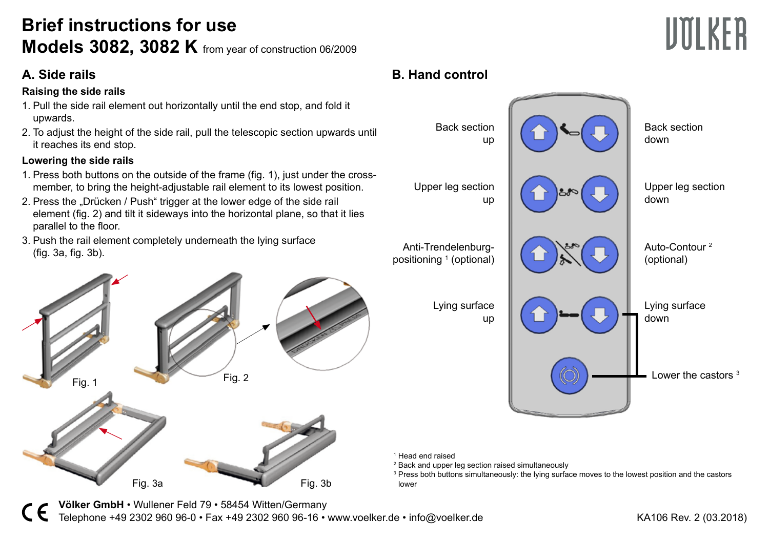# **Brief instructions for use Models 3082, 3082 K** from year of construction 06/2009

#### **Raising the side rails**

- 1. Pull the side rail element out horizontally until the end stop, and fold it upwards.
- 2. To adjust the height of the side rail, pull the telescopic section upwards until it reaches its end stop.

#### **Lowering the side rails**

- 1. Press both buttons on the outside of the frame (fig. 1), just under the crossmember, to bring the height-adjustable rail element to its lowest position.
- 2. Press the "Drücken / Push" trigger at the lower edge of the side rail element (fig. 2) and tilt it sideways into the horizontal plane, so that it lies parallel to the floor.
- 3. Push the rail element completely underneath the lying surface (fig. 3a, fig. 3b).



## **A. Side rails B. Hand control**



1 Head end raised

2 Back and upper leg section raised simultaneously

3 Press both buttons simultaneously: the lying surface moves to the lowest position and the castors lower

**Völker GmbH** • Wullener Feld 79 • 58454 Witten/Germany Telephone +49 2302 960 96-0 • Fax +49 2302 960 96-16 • www.voelker.de • info@voelker.de KA106 Rev. 2 (03.2018)

**UTILKER**